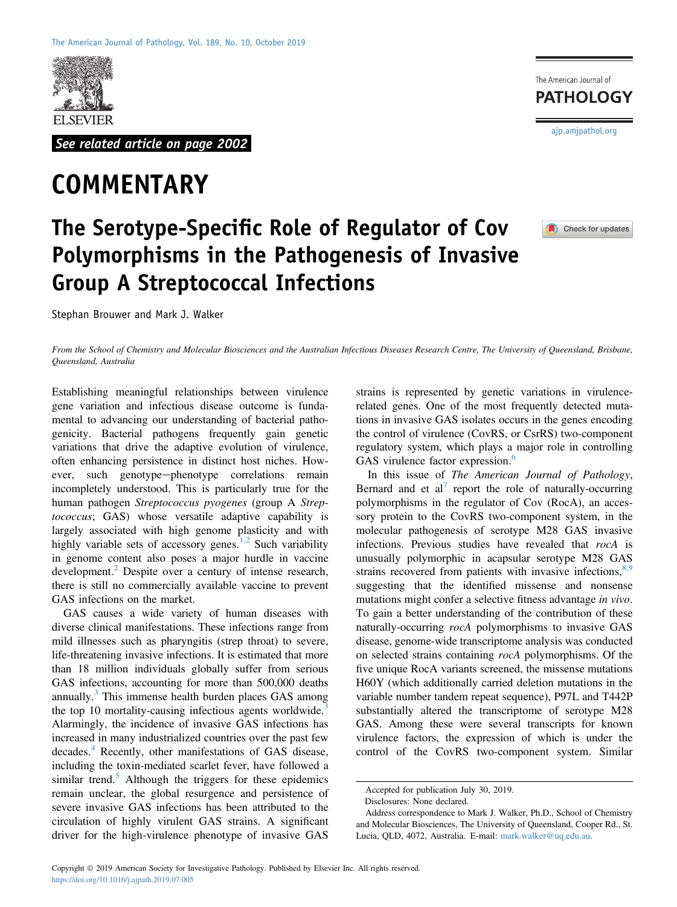

See related article on page 2002

## **COMMENTARY**  $\overline{\phantom{a}}$

## The Serotype-Specific Role of Regulator of Cov<br>Polymorphisms in the Pathogenesis of Invasiv Polymorphisms in the Pathogenesis of Invasive

Group A Street of the Contract of the Contract of the Contract of the Contract of the Contract of Maria 3. Welliam Stephan Brouwer and Mark J. Walker

The American Journal of **PATHOLOGY** [ajp.amjpathol.org](http://ajp.amjpathol.org)



From the School of Chemistry and Molecular Biosciences and the Australian Infectious Diseases Research Centre, The University of Queensland, Brisbane, Queensland, Australia

Establishing meaningful relationships between virulence gene variation and infectious disease outcome is fundamental to advancing our understanding of bacterial pathogenicity. Bacterial pathogens frequently gain genetic variations that drive the adaptive evolution of virulence, often enhancing persistence in distinct host niches. However, such genotype-phenotype correlations remain incompletely understood. This is particularly true for the human pathogen Streptococcus pyogenes (group A Streptococcus; GAS) whose versatile adaptive capability is largely associated with high genome plasticity and with highly variable sets of accessory genes.<sup>[1,2](#page-1-0)</sup> Such variability in genome content also poses a major hurdle in vaccine development. $2$  Despite over a century of intense research, there is still no commercially available vaccine to prevent GAS infections on the market.

GAS causes a wide variety of human diseases with diverse clinical manifestations. These infections range from mild illnesses such as pharyngitis (strep throat) to severe, life-threatening invasive infections. It is estimated that more than 18 million individuals globally suffer from serious GAS infections, accounting for more than 500,000 deaths annually. $3$  This immense health burden places GAS among the top 10 mortality-causing infectious agents worldwide.<sup>[3](#page-1-2)</sup> Alarmingly, the incidence of invasive GAS infections has increased in many industrialized countries over the past few decades.<sup>[4](#page-1-3)</sup> Recently, other manifestations of GAS disease, including the toxin-mediated scarlet fever, have followed a similar trend.<sup>[5](#page-1-4)</sup> Although the triggers for these epidemics remain unclear, the global resurgence and persistence of severe invasive GAS infections has been attributed to the circulation of highly virulent GAS strains. A significant driver for the high-virulence phenotype of invasive GAS

strains is represented by genetic variations in virulencerelated genes. One of the most frequently detected mutations in invasive GAS isolates occurs in the genes encoding the control of virulence (CovRS, or CsrRS) two-component regulatory system, which plays a major role in controlling GAS virulence factor expression.<sup>[6](#page-1-5)</sup>

In this issue of The American Journal of Pathology, Bernard and et al<sup>[7](#page-1-6)</sup> report the role of naturally-occurring polymorphisms in the regulator of Cov (RocA), an accessory protein to the CovRS two-component system, in the molecular pathogenesis of serotype M28 GAS invasive infections. Previous studies have revealed that rocA is unusually polymorphic in acapsular serotype M28 GAS strains recovered from patients with invasive infections,  $8,9$ suggesting that the identified missense and nonsense mutations might confer a selective fitness advantage in vivo. To gain a better understanding of the contribution of these naturally-occurring *rocA* polymorphisms to invasive GAS disease, genome-wide transcriptome analysis was conducted on selected strains containing rocA polymorphisms. Of the five unique RocA variants screened, the missense mutations H60Y (which additionally carried deletion mutations in the variable number tandem repeat sequence), P97L and T442P substantially altered the transcriptome of serotype M28 GAS. Among these were several transcripts for known virulence factors, the expression of which is under the control of the CovRS two-component system. Similar

Accepted for publication July 30, 2019.

Disclosures: None declared.

Address correspondence to Mark J. Walker, Ph.D., School of Chemistry and Molecular Biosciences, The University of Queensland, Cooper Rd., St. Lucia, QLD, 4072, Australia. E-mail: [mark.walker@uq.edu.au.](mailto:mark.walker@uq.edu.au)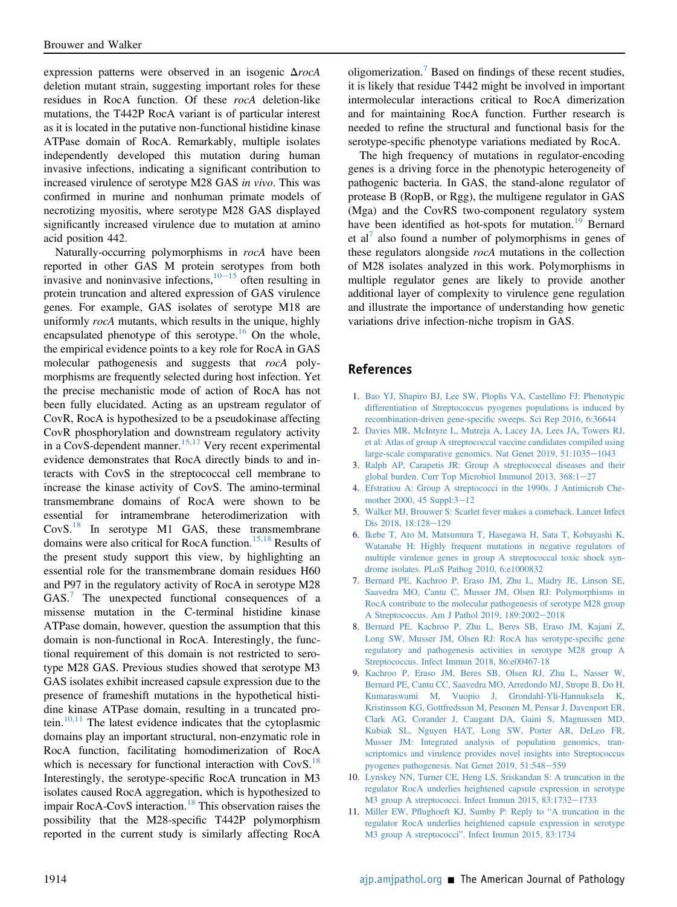expression patterns were observed in an isogenic  $\Delta roch$ deletion mutant strain, suggesting important roles for these residues in RocA function. Of these rocA deletion-like mutations, the T442P RocA variant is of particular interest as it is located in the putative non-functional histidine kinase ATPase domain of RocA. Remarkably, multiple isolates independently developed this mutation during human invasive infections, indicating a significant contribution to increased virulence of serotype M28 GAS in vivo. This was confirmed in murine and nonhuman primate models of necrotizing myositis, where serotype M28 GAS displayed significantly increased virulence due to mutation at amino acid position 442.

Naturally-occurring polymorphisms in rocA have been reported in other GAS M protein serotypes from both invasive and noninvasive infections,  $10-15$  $10-15$  $10-15$  often resulting in protein truncation and altered expression of GAS virulence genes. For example, GAS isolates of serotype M18 are uniformly *rocA* mutants, which results in the unique, highly encapsulated phenotype of this serotype.<sup>[16](#page-2-0)</sup> On the whole, the empirical evidence points to a key role for RocA in GAS molecular pathogenesis and suggests that rocA polymorphisms are frequently selected during host infection. Yet the precise mechanistic mode of action of RocA has not been fully elucidated. Acting as an upstream regulator of CovR, RocA is hypothesized to be a pseudokinase affecting CovR phosphorylation and downstream regulatory activity in a CovS-dependent manner.<sup>[15,17](#page-2-1)</sup> Very recent experimental evidence demonstrates that RocA directly binds to and interacts with CovS in the streptococcal cell membrane to increase the kinase activity of CovS. The amino-terminal transmembrane domains of RocA were shown to be essential for intramembrane heterodimerization with  $CovS<sup>18</sup>$  $CovS<sup>18</sup>$  $CovS<sup>18</sup>$  In serotype M1 GAS, these transmembrane domains were also critical for RocA function.<sup>[15,18](#page-2-1)</sup> Results of the present study support this view, by highlighting an essential role for the transmembrane domain residues H60 and P97 in the regulatory activity of RocA in serotype M28 GAS.<sup>[7](#page-1-6)</sup> The unexpected functional consequences of a missense mutation in the C-terminal histidine kinase ATPase domain, however, question the assumption that this domain is non-functional in RocA. Interestingly, the functional requirement of this domain is not restricted to serotype M28 GAS. Previous studies showed that serotype M3 GAS isolates exhibit increased capsule expression due to the presence of frameshift mutations in the hypothetical histidine kinase ATPase domain, resulting in a truncated protein. $10,11$  The latest evidence indicates that the cytoplasmic domains play an important structural, non-enzymatic role in RocA function, facilitating homodimerization of RocA which is necessary for functional interaction with CovS.<sup>[18](#page-2-2)</sup> Interestingly, the serotype-specific RocA truncation in M3 isolates caused RocA aggregation, which is hypothesized to impair RocA-CovS interaction.[18](#page-2-2) This observation raises the possibility that the M28-specific T442P polymorphism reported in the current study is similarly affecting RocA

oligomerization.[7](#page-1-6) Based on findings of these recent studies, it is likely that residue T442 might be involved in important intermolecular interactions critical to RocA dimerization and for maintaining RocA function. Further research is needed to refine the structural and functional basis for the serotype-specific phenotype variations mediated by RocA.

The high frequency of mutations in regulator-encoding genes is a driving force in the phenotypic heterogeneity of pathogenic bacteria. In GAS, the stand-alone regulator of protease B (RopB, or Rgg), the multigene regulator in GAS (Mga) and the CovRS two-component regulatory system have been identified as hot-spots for mutation.<sup>[19](#page-2-3)</sup> Bernard et al<sup>[7](#page-1-6)</sup> also found a number of polymorphisms in genes of these regulators alongside rocA mutations in the collection of M28 isolates analyzed in this work. Polymorphisms in multiple regulator genes are likely to provide another additional layer of complexity to virulence gene regulation and illustrate the importance of understanding how genetic variations drive infection-niche tropism in GAS.

## <span id="page-1-0"></span>**References** References

- <span id="page-1-1"></span>1. [Bao YJ, Shapiro BJ, Lee SW, Ploplis VA, Castellino FJ: Phenotypic](http://refhub.elsevier.com/S0002-9440(19)30661-3/sref1) [differentiation of Streptococcus pyogenes populations is induced by](http://refhub.elsevier.com/S0002-9440(19)30661-3/sref1) recombination-driven gene-specifi[c sweeps. Sci Rep 2016, 6:36644](http://refhub.elsevier.com/S0002-9440(19)30661-3/sref1)
- <span id="page-1-2"></span>2. [Davies MR, McIntyre L, Mutreja A, Lacey JA, Lees JA, Towers RJ,](http://refhub.elsevier.com/S0002-9440(19)30661-3/sref2) [et al: Atlas of group A streptococcal vaccine candidates compiled using](http://refhub.elsevier.com/S0002-9440(19)30661-3/sref2) large-scale comparative genomics. Nat Genet  $2019$ ,  $51:1035-1043$  $51:1035-1043$
- <span id="page-1-3"></span>3. [Ralph AP, Carapetis JR: Group A streptococcal diseases and their](http://refhub.elsevier.com/S0002-9440(19)30661-3/sref3) [global burden. Curr Top Microbiol Immunol 2013, 368:1](http://refhub.elsevier.com/S0002-9440(19)30661-3/sref3)-[27](http://refhub.elsevier.com/S0002-9440(19)30661-3/sref3)
- <span id="page-1-4"></span>4. [Efstratiou A: Group A streptococci in the 1990s. J Antimicrob Che](http://refhub.elsevier.com/S0002-9440(19)30661-3/sref4)[mother 2000, 45 Suppl:3](http://refhub.elsevier.com/S0002-9440(19)30661-3/sref4)-[12](http://refhub.elsevier.com/S0002-9440(19)30661-3/sref4)
- <span id="page-1-5"></span>5. [Walker MJ, Brouwer S: Scarlet fever makes a comeback. Lancet Infect](http://refhub.elsevier.com/S0002-9440(19)30661-3/sref5) [Dis 2018, 18:128](http://refhub.elsevier.com/S0002-9440(19)30661-3/sref5)-[129](http://refhub.elsevier.com/S0002-9440(19)30661-3/sref5)
- 6. [Ikebe T, Ato M, Matsumura T, Hasegawa H, Sata T, Kobayashi K,](http://refhub.elsevier.com/S0002-9440(19)30661-3/sref6) [Watanabe H: Highly frequent mutations in negative regulators of](http://refhub.elsevier.com/S0002-9440(19)30661-3/sref6) [multiple virulence genes in group A streptococcal toxic shock syn](http://refhub.elsevier.com/S0002-9440(19)30661-3/sref6)[drome isolates. PLoS Pathog 2010, 6:e1000832](http://refhub.elsevier.com/S0002-9440(19)30661-3/sref6)
- <span id="page-1-6"></span>7. [Bernard PE, Kachroo P, Eraso JM, Zhu L, Madry JE, Linson SE,](http://refhub.elsevier.com/S0002-9440(19)30661-3/sref7) [Saavedra MO, Cantu C, Musser JM, Olsen RJ: Polymorphisms in](http://refhub.elsevier.com/S0002-9440(19)30661-3/sref7) [RocA contribute to the molecular pathogenesis of serotype M28 group](http://refhub.elsevier.com/S0002-9440(19)30661-3/sref7) [A Streptococcus. Am J Pathol 2019, 189:2002](http://refhub.elsevier.com/S0002-9440(19)30661-3/sref7)-[2018](http://refhub.elsevier.com/S0002-9440(19)30661-3/sref7)
- <span id="page-1-7"></span>8. [Bernard PE, Kachroo P, Zhu L, Beres SB, Eraso JM, Kajani Z,](http://refhub.elsevier.com/S0002-9440(19)30661-3/sref8) [Long SW, Musser JM, Olsen RJ: RocA has serotype-speci](http://refhub.elsevier.com/S0002-9440(19)30661-3/sref8)fic gene [regulatory and pathogenesis activities in serotype M28 group A](http://refhub.elsevier.com/S0002-9440(19)30661-3/sref8) [Streptococcus. Infect Immun 2018, 86:e00467-18](http://refhub.elsevier.com/S0002-9440(19)30661-3/sref8)
- 9. [Kachroo P, Eraso JM, Beres SB, Olsen RJ, Zhu L, Nasser W,](http://refhub.elsevier.com/S0002-9440(19)30661-3/sref9) [Bernard PE, Cantu CC, Saavedra MO, Arredondo MJ, Strope B, Do H,](http://refhub.elsevier.com/S0002-9440(19)30661-3/sref9) [Kumaraswami M, Vuopio J, Grondahl-Yli-Hannuksela K,](http://refhub.elsevier.com/S0002-9440(19)30661-3/sref9) [Kristinsson KG, Gottfredsson M, Pesonen M, Pensar J, Davenport ER,](http://refhub.elsevier.com/S0002-9440(19)30661-3/sref9) [Clark AG, Corander J, Caugant DA, Gaini S, Magnussen MD,](http://refhub.elsevier.com/S0002-9440(19)30661-3/sref9) [Kubiak SL, Nguyen HAT, Long SW, Porter AR, DeLeo FR,](http://refhub.elsevier.com/S0002-9440(19)30661-3/sref9) [Musser JM: Integrated analysis of population genomics, tran](http://refhub.elsevier.com/S0002-9440(19)30661-3/sref9)[scriptomics and virulence provides novel insights into Streptococcus](http://refhub.elsevier.com/S0002-9440(19)30661-3/sref9) [pyogenes pathogenesis. Nat Genet 2019, 51:548](http://refhub.elsevier.com/S0002-9440(19)30661-3/sref9)-[559](http://refhub.elsevier.com/S0002-9440(19)30661-3/sref9)
- <span id="page-1-8"></span>10. [Lynskey NN, Turner CE, Heng LS, Sriskandan S: A truncation in the](http://refhub.elsevier.com/S0002-9440(19)30661-3/sref10) [regulator RocA underlies heightened capsule expression in serotype](http://refhub.elsevier.com/S0002-9440(19)30661-3/sref10) [M3 group A streptococci. Infect Immun 2015, 83:1732](http://refhub.elsevier.com/S0002-9440(19)30661-3/sref10)-[1733](http://refhub.elsevier.com/S0002-9440(19)30661-3/sref10)
- 11. Miller EW, Pfl[ughoeft KJ, Sumby P: Reply to](http://refhub.elsevier.com/S0002-9440(19)30661-3/sref11) "A truncation in the [regulator RocA underlies heightened capsule expression in serotype](http://refhub.elsevier.com/S0002-9440(19)30661-3/sref11) M3 group A streptococci"[. Infect Immun 2015, 83:1734](http://refhub.elsevier.com/S0002-9440(19)30661-3/sref11)